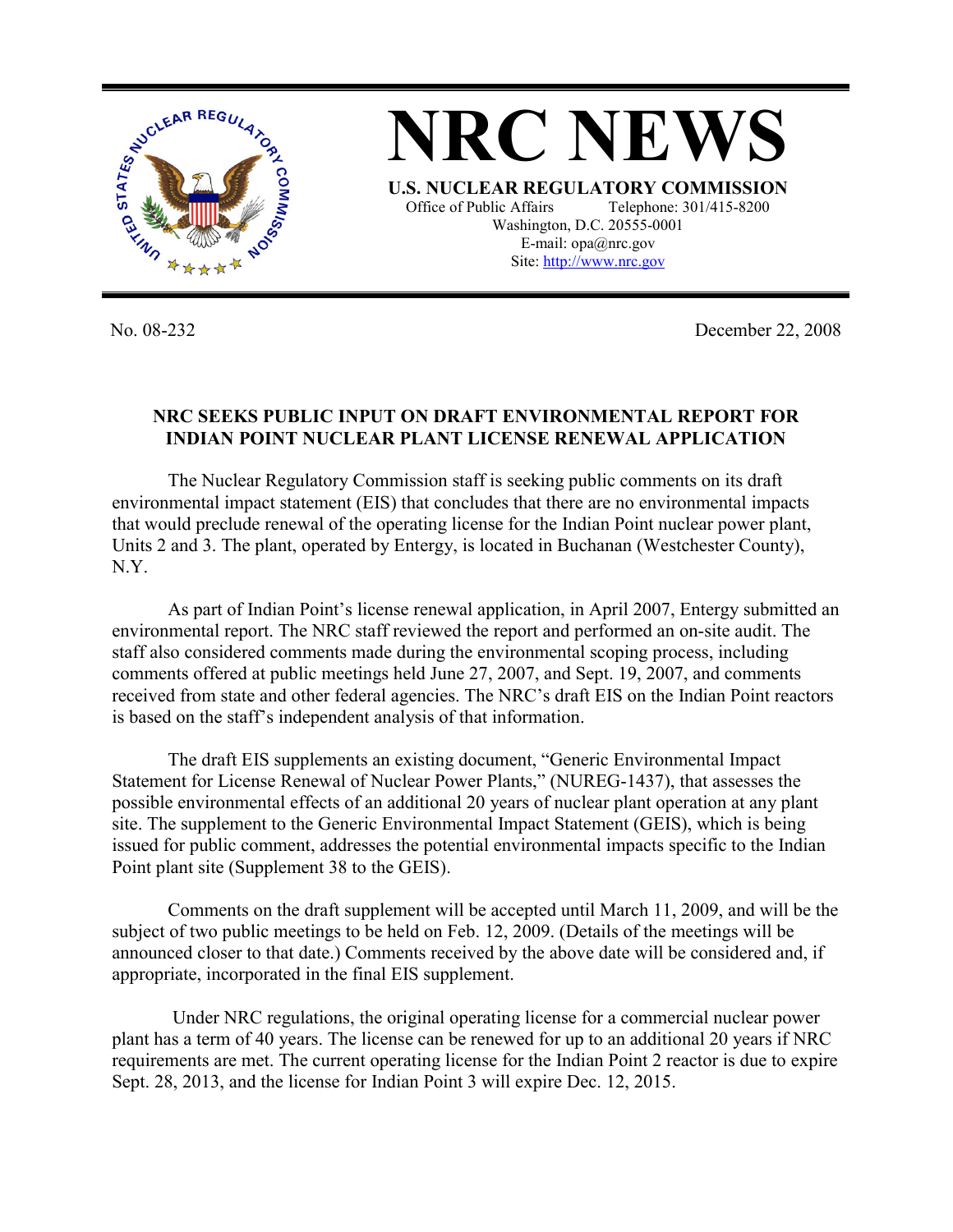

**NRC NEWS U.S. NUCLEAR REGULATORY COMMISSION** Office of Public Affairs Telephone: 301/415-8200 Washington, D.C. 20555-0001 E-mail: opa@nrc.gov Site: http://www.nrc.gov

No. 08-232 December 22, 2008

## **NRC SEEKS PUBLIC INPUT ON DRAFT ENVIRONMENTAL REPORT FOR INDIAN POINT NUCLEAR PLANT LICENSE RENEWAL APPLICATION**

 The Nuclear Regulatory Commission staff is seeking public comments on its draft environmental impact statement (EIS) that concludes that there are no environmental impacts that would preclude renewal of the operating license for the Indian Point nuclear power plant, Units 2 and 3. The plant, operated by Entergy, is located in Buchanan (Westchester County), N.Y.

 As part of Indian Point's license renewal application, in April 2007, Entergy submitted an environmental report. The NRC staff reviewed the report and performed an on-site audit. The staff also considered comments made during the environmental scoping process, including comments offered at public meetings held June 27, 2007, and Sept. 19, 2007, and comments received from state and other federal agencies. The NRC's draft EIS on the Indian Point reactors is based on the staff's independent analysis of that information.

 The draft EIS supplements an existing document, "Generic Environmental Impact Statement for License Renewal of Nuclear Power Plants," (NUREG-1437), that assesses the possible environmental effects of an additional 20 years of nuclear plant operation at any plant site. The supplement to the Generic Environmental Impact Statement (GEIS), which is being issued for public comment, addresses the potential environmental impacts specific to the Indian Point plant site (Supplement 38 to the GEIS).

 Comments on the draft supplement will be accepted until March 11, 2009, and will be the subject of two public meetings to be held on Feb. 12, 2009. (Details of the meetings will be announced closer to that date.) Comments received by the above date will be considered and, if appropriate, incorporated in the final EIS supplement.

 Under NRC regulations, the original operating license for a commercial nuclear power plant has a term of 40 years. The license can be renewed for up to an additional 20 years if NRC requirements are met. The current operating license for the Indian Point 2 reactor is due to expire Sept. 28, 2013, and the license for Indian Point 3 will expire Dec. 12, 2015.